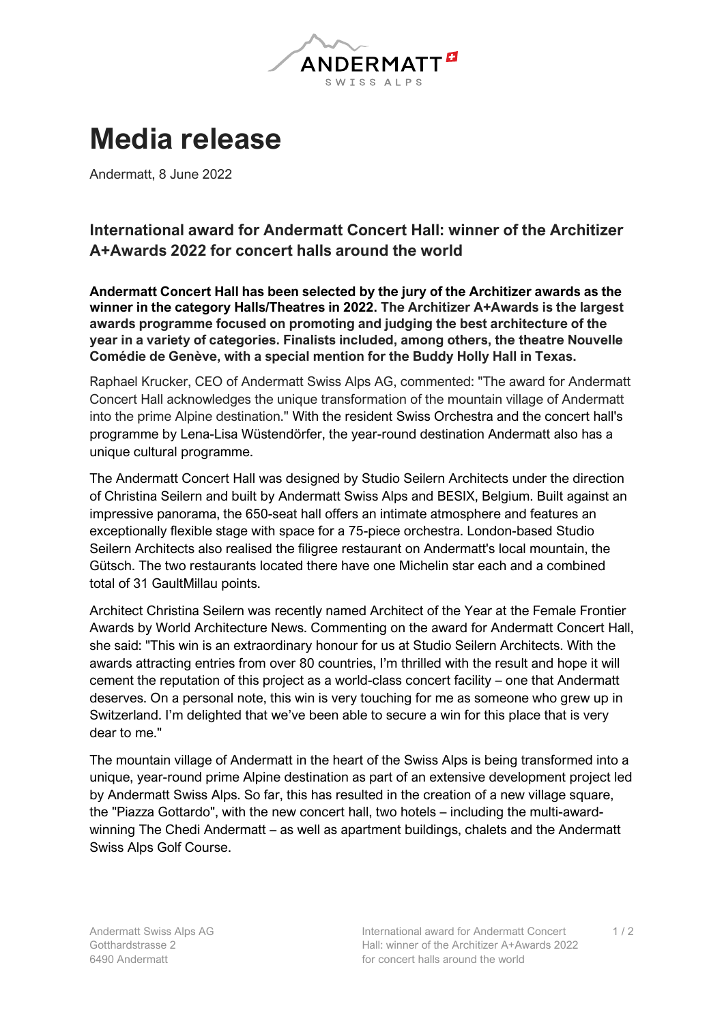

## **Media release**

Andermatt, 8 June 2022

## **International award for Andermatt Concert Hall: winner of the Architizer A+Awards 2022 for concert halls around the world**

**Andermatt Concert Hall has been selected by the jury of the Architizer awards as the winner in the category Halls/Theatres in 2022. The Architizer A+Awards is the largest awards programme focused on promoting and judging the best architecture of the year in a variety of categories. Finalists included, among others, the theatre Nouvelle Comédie de Genève, with a special mention for the Buddy Holly Hall in Texas.**

Raphael Krucker, CEO of Andermatt Swiss Alps AG, commented: "The award for Andermatt Concert Hall acknowledges the unique transformation of the mountain village of Andermatt into the prime Alpine destination." With the resident Swiss Orchestra and the concert hall's programme by Lena-Lisa Wüstendörfer, the year-round destination Andermatt also has a unique cultural programme.

The Andermatt Concert Hall was designed by Studio Seilern Architects under the direction of Christina Seilern and built by Andermatt Swiss Alps and BESIX, Belgium. Built against an impressive panorama, the 650-seat hall offers an intimate atmosphere and features an exceptionally flexible stage with space for a 75-piece orchestra. London-based Studio Seilern Architects also realised the filigree restaurant on Andermatt's local mountain, the Gütsch. The two restaurants located there have one Michelin star each and a combined total of 31 GaultMillau points.

Architect Christina Seilern was recently named Architect of the Year at the Female Frontier Awards by World Architecture News. Commenting on the award for Andermatt Concert Hall, she said: "This win is an extraordinary honour for us at Studio Seilern Architects. With the awards attracting entries from over 80 countries, I'm thrilled with the result and hope it will cement the reputation of this project as a world-class concert facility – one that Andermatt deserves. On a personal note, this win is very touching for me as someone who grew up in Switzerland. I'm delighted that we've been able to secure a win for this place that is very dear to me."

The mountain village of Andermatt in the heart of the Swiss Alps is being transformed into a unique, year-round prime Alpine destination as part of an extensive development project led by Andermatt Swiss Alps. So far, this has resulted in the creation of a new village square, the "Piazza Gottardo", with the new concert hall, two hotels – including the multi-awardwinning The Chedi Andermatt – as well as apartment buildings, chalets and the Andermatt Swiss Alps Golf Course.